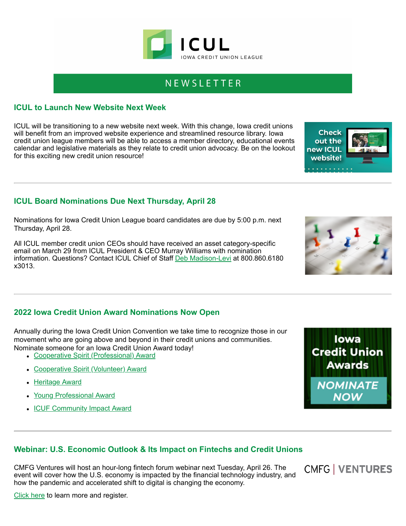# NEWSLETTER

#### **ICUL to Launch New Website Next Week**

ICUL will be transitioning to a new website next week. With this change, Iowa credit unions will benefit from an improved website experience and streamlined resource library. Iowa credit union league members will be able to access a member directory, educational events calendar and legislative materials as they relate to credit union advocacy. Be on the lookout for this exciting new credit union resource!

#### **ICUL Board Nominations Due Next Thursday, April 28**

Nominations for Iowa Credit Union League board candidates are due by 5:00 p.m. next Thursday, April 28.

All ICUL member credit union CEOs should have received an asset category-specific email on March 29 from ICUL President & CEO Murray Williams with nomination information. Questions? Contact ICUL Chief of Staff [Deb Madison-Levi](mailto:deb.madison-levi@iowacreditunions.com) at 800.860.6180 x3013.

## **2022 Iowa Credit Union Award Nominations Now Open**

Annually during the Iowa Credit Union Convention we take time to recognize those in our movement who are going above and beyond in their credit unions and communities. Nominate someone for an Iowa Credit Union Award today!

- [Cooperative Spirit \(Professional\) Award](https://docs.google.com/forms/d/e/1FAIpQLSd1VmdKa6A_wZl3rwEJneLtW64YWqI2CUQlbclzrIK1ilLypA/viewform)
- **[Cooperative Spirit \(Volunteer\) Award](https://docs.google.com/forms/d/e/1FAIpQLSc6Y7aNKRx9A2R79b60QkzaNTrd_DV_Sm8nQXVi0Pgu52xlIw/viewform)**
- [Heritage Award](https://docs.google.com/forms/d/e/1FAIpQLSe51mYL0zFVkZ1jeGLHV3yMPHa9S7sKtxmfwiBQ5FvaZIeUUg/viewform)
- [Young Professional Award](https://docs.google.com/forms/d/e/1FAIpQLSf0wMnvEiPXDdb1v29BHMiRhBvDA8Op7P8wO3XPEHQRqAWBPg/viewform)
- [ICUF Community Impact Award](https://docs.google.com/forms/d/e/1FAIpQLSeEWaUKN5gYvNibIA_ZesxLp3jtPw2WjNxQRHKlGVfGzPVqpw/viewform)

#### **Webinar: U.S. Economic Outlook & Its Impact on Fintechs and Credit Unions**

CMFG Ventures will host an hour-long fintech forum webinar next Tuesday, April 26. The event will cover how the U.S. economy is impacted by the financial technology industry, and how the pandemic and accelerated shift to digital is changing the economy.

[Click here](https://cloud.cunamutual.com/us-economic-outlook-and-its-impact-on-fintechs-and-credit-unions?utm_source=leagueassoc&utm_medium=email&utm_campaign=CMFGVentures-Fintech-Forum&utm_content=monthly-promotion) to learn more and register.



**CMFG | VENTURES**